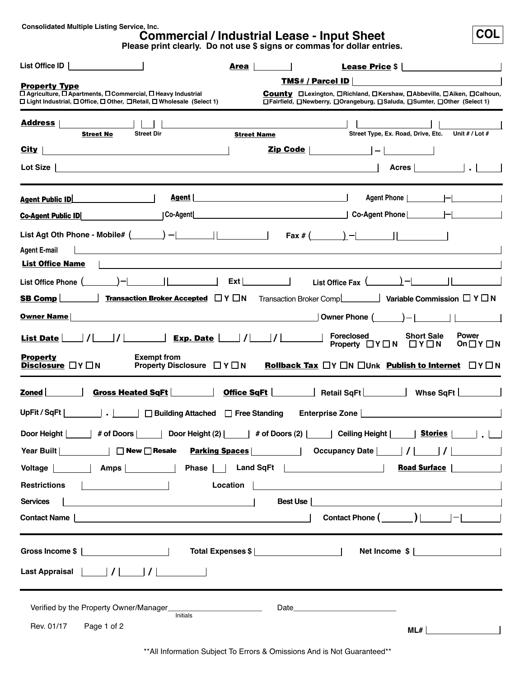**Consolidated Multiple Listing Service, Inc.**

# **Commercial / Industrial Lease - Input Sheet**

**COL**

**Please print clearly. Do not use \$ signs or commas for dollar entries.**

| List Office ID                                                                                                                               | Area<br><b>Lease Price \$</b>                                                                                                                                                                                                     |
|----------------------------------------------------------------------------------------------------------------------------------------------|-----------------------------------------------------------------------------------------------------------------------------------------------------------------------------------------------------------------------------------|
| <b>Property Type</b>                                                                                                                         | <b>TMS# / Parcel ID</b>                                                                                                                                                                                                           |
| □ Agriculture, □ Apartments, □ Commercial, □ Heavy Industrial<br>□ Light Industrial, □ Office, □ Other, □ Retail, □ Wholesale (Select 1)     | County □Lexington, □Richland, □Kershaw, □Abbeville, □Aiken, □Calhoun,<br>□Fairfield, □Newberry, □Orangeburg, □Saluda, □Sumter, □Other (Select 1)                                                                                  |
| <u> Address</u>                                                                                                                              |                                                                                                                                                                                                                                   |
| <b>Street Dir</b><br><b>Street No</b>                                                                                                        | Unit # / Lot #<br>Street Type, Ex. Road, Drive, Etc.<br><b>Street Name</b>                                                                                                                                                        |
| $City$  <br>the contract of the contract of the contract of the contract of the contract of the contract of the contract of                  | Zip Code  <br>$\begin{array}{ccc} \hline \end{array}$                                                                                                                                                                             |
| Lot Size $ $                                                                                                                                 | Acres                                                                                                                                                                                                                             |
| Agent  <br><b>Agent Public ID</b>                                                                                                            |                                                                                                                                                                                                                                   |
| Co-Agent<br><b>Co-Agent Public ID</b>                                                                                                        |                                                                                                                                                                                                                                   |
| <b>Agent E-mail</b><br><u> 1980 - Jan Sterling von de Frankrijke kommunistiske kommunistiske kommunistiske kommunistiske kommunistiske k</u> | List Agt Oth Phone - Mobile# $(\_\_\_\_\_\_\_$ - $\_\_\_\_\_\_\_$ [ax # $(\_\_\_\_\)_$ - $\_\_\_\_\_\_$                                                                                                                           |
| <b>List Office Name</b>                                                                                                                      |                                                                                                                                                                                                                                   |
| List Office Phone $(\_\_\_\_\_\_\_\$ $\_\_\_\_\$                                                                                             | $Ext$  <br>List Office Fax $(\_\_\_\_\_\)_-\$                                                                                                                                                                                     |
| <b>Transaction Broker Accepted <math>\Box</math> Y <math>\Box</math> N</b><br>$S$ B Comp                                                     | Transaction Broker Comp <b>Letter</b> Variable Commission □ Y □ N                                                                                                                                                                 |
| <b>Owner Name</b>                                                                                                                            | $)$ -1 11<br>Owner Phone (                                                                                                                                                                                                        |
| <b>List Date</b>                                                                                                                             | <b>Foreclosed</b><br><b>Short Sale</b><br><b>Power</b><br>Property $\Box Y \Box N \Box Y \Box N$<br>On $\Box$ Y $\Box$ N                                                                                                          |
| <b>Property</b><br><b>Exempt from</b><br>Disclosure $\Box Y \Box N$<br>Property Disclosure $\Box Y \Box N$                                   | <b>Rollback Tax</b> $\Box Y \Box N \Box$ Unk <b>Publish to Internet</b> $\Box Y \Box N$                                                                                                                                           |
| Gross Heated SqFt<br>Zoned                                                                                                                   | <b>Office SqFt</b>   Retail SqFt   Whse SqFt   Misse SqFt   Netail SqFt   Netail SqFt   Netail SqFt   Netail SqFt   Netail SqFt   Netail SqFt   Netail SqFt   Netail SqFt   Netail SqFt   Netail SqFt   Netail SqFt   Netail SqFt |
| UpFit / $SqFt$<br>□ Building Attached □ Free Standing<br>. <b>.</b>                                                                          | Enterprise Zone                                                                                                                                                                                                                   |
| Door Height                                                                                                                                  | _  # of Doors       Door Height (2)       # of Doors (2)       Ceiling Height       <u>Stories</u>                                                                                                                                |
| $\Box$ New $\Box$ Resale                                                                                                                     | <b>Parking Spaces</b><br><b>Occupancy Date</b><br> I                                                                                                                                                                              |
| Voltage     Amps                                                                                                                             | <b>Road Surface</b>                                                                                                                                                                                                               |
| <b>Restrictions</b>                                                                                                                          | Location                                                                                                                                                                                                                          |
| <b>Services</b><br><u> 1989 - Johann Stoff, Amerikaansk politiker (</u>                                                                      | Best Use                                                                                                                                                                                                                          |
| Contact Name                                                                                                                                 |                                                                                                                                                                                                                                   |
|                                                                                                                                              | Net Income \$                                                                                                                                                                                                                     |
|                                                                                                                                              |                                                                                                                                                                                                                                   |
|                                                                                                                                              |                                                                                                                                                                                                                                   |
|                                                                                                                                              | Date and the state of the state of the state of the state of the state of the state of the state of the state of the state of the state of the state of the state of the state of the state of the state of the state of the s    |
| Initials<br>Rev. 01/17<br>Page 1 of 2                                                                                                        |                                                                                                                                                                                                                                   |
|                                                                                                                                              | ML#                                                                                                                                                                                                                               |